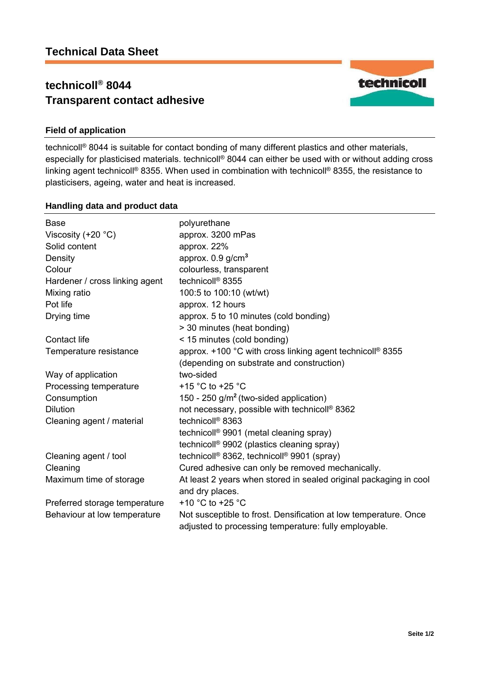# **technicoll® 8044 Transparent contact adhesive**



## **Field of application**

technicoll® 8044 is suitable for contact bonding of many different plastics and other materials, especially for plasticised materials. technicoll® 8044 can either be used with or without adding cross linking agent technicoll® 8355. When used in combination with technicoll® 8355, the resistance to plasticisers, ageing, water and heat is increased.

### **Handling data and product data**

| <b>Base</b><br>Viscosity $(+20 °C)$<br>Solid content<br>Density<br>Colour<br>Hardener / cross linking agent<br>Mixing ratio<br>Pot life | polyurethane<br>approx. 3200 mPas<br>approx. 22%<br>approx. 0.9 g/cm <sup>3</sup><br>colourless, transparent<br>technicoll <sup>®</sup> 8355<br>100:5 to 100:10 (wt/wt)<br>approx. 12 hours |  |  |
|-----------------------------------------------------------------------------------------------------------------------------------------|---------------------------------------------------------------------------------------------------------------------------------------------------------------------------------------------|--|--|
| Drying time                                                                                                                             | approx. 5 to 10 minutes (cold bonding)<br>> 30 minutes (heat bonding)                                                                                                                       |  |  |
| Contact life                                                                                                                            | < 15 minutes (cold bonding)                                                                                                                                                                 |  |  |
| Temperature resistance                                                                                                                  | approx. +100 °C with cross linking agent technicoll® 8355<br>(depending on substrate and construction)                                                                                      |  |  |
| Way of application                                                                                                                      | two-sided                                                                                                                                                                                   |  |  |
| Processing temperature                                                                                                                  | +15 °C to +25 °C                                                                                                                                                                            |  |  |
| Consumption                                                                                                                             | 150 - 250 $g/m^2$ (two-sided application)                                                                                                                                                   |  |  |
| <b>Dilution</b>                                                                                                                         | not necessary, possible with technicoll® 8362                                                                                                                                               |  |  |
| Cleaning agent / material                                                                                                               | technicoll <sup>®</sup> 8363                                                                                                                                                                |  |  |
|                                                                                                                                         | technicoll <sup>®</sup> 9901 (metal cleaning spray)                                                                                                                                         |  |  |
|                                                                                                                                         | technicoll <sup>®</sup> 9902 (plastics cleaning spray)                                                                                                                                      |  |  |
| Cleaning agent / tool                                                                                                                   | technicoll® 8362, technicoll® 9901 (spray)                                                                                                                                                  |  |  |
| Cleaning                                                                                                                                | Cured adhesive can only be removed mechanically.                                                                                                                                            |  |  |
| Maximum time of storage                                                                                                                 | At least 2 years when stored in sealed original packaging in cool<br>and dry places.                                                                                                        |  |  |
| Preferred storage temperature                                                                                                           | +10 $^{\circ}$ C to +25 $^{\circ}$ C                                                                                                                                                        |  |  |
| Behaviour at low temperature                                                                                                            | Not susceptible to frost. Densification at low temperature. Once<br>adjusted to processing temperature: fully employable.                                                                   |  |  |